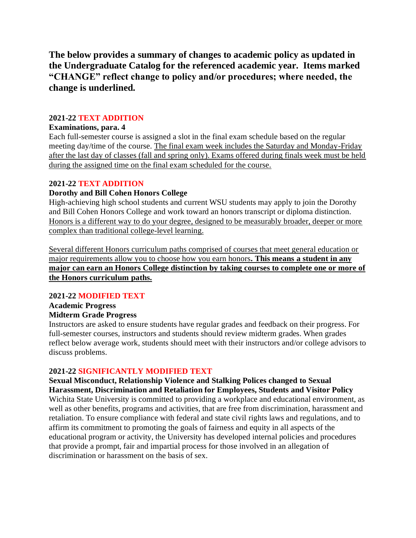**The below provides a summary of changes to academic policy as updated in the Undergraduate Catalog for the referenced academic year. Items marked "CHANGE" reflect change to policy and/or procedures; where needed, the change is underlined.**

## **2021-22 TEXT ADDITION**

#### **Examinations, para. 4**

Each full-semester course is assigned a slot in the final exam schedule based on the regular meeting day/time of the course. The final exam week includes the Saturday and Monday-Friday after the last day of classes (fall and spring only). Exams offered during finals week must be held during the assigned time on the final exam scheduled for the course.

#### **2021-22 TEXT ADDITION**

#### **Dorothy and Bill Cohen Honors College**

High-achieving high school students and current WSU students may apply to join the Dorothy and Bill Cohen Honors College and work toward an honors transcript or diploma distinction. Honors is a different way to do your degree, designed to be measurably broader, deeper or more complex than traditional college-level learning.

Several different Honors curriculum paths comprised of courses that meet general education or major requirements allow you to choose how you earn honors*.* **This means a student in any major can earn an Honors College distinction by taking courses to complete one or more of the Honors curriculum paths.**

#### **2021-22 MODIFIED TEXT**

#### **Academic Progress Midterm Grade Progress**

Instructors are asked to ensure students have regular grades and feedback on their progress. For full-semester courses, instructors and students should review midterm grades. When grades reflect below average work, students should meet with their instructors and/or college advisors to discuss problems.

## **2021-22 SIGNIFICANTLY MODIFIED TEXT**

**Sexual Misconduct, Relationship Violence and Stalking Polices changed to Sexual Harassment, Discrimination and Retaliation for Employees, Students and Visitor Policy** Wichita State University is committed to providing a workplace and educational environment, as well as other benefits, programs and activities, that are free from discrimination, harassment and retaliation. To ensure compliance with federal and state civil rights laws and regulations, and to affirm its commitment to promoting the goals of fairness and equity in all aspects of the educational program or activity, the University has developed internal policies and procedures that provide a prompt, fair and impartial process for those involved in an allegation of discrimination or harassment on the basis of sex.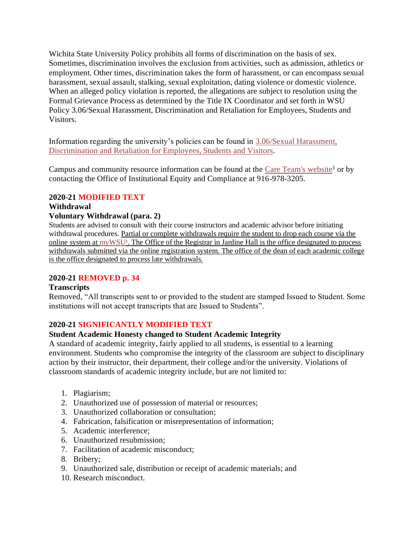Wichita State University Policy prohibits all forms of discrimination on the basis of sex. Sometimes, discrimination involves the exclusion from activities, such as admission, athletics or employment. Other times, discrimination takes the form of harassment, or can encompass sexual harassment, sexual assault, stalking, sexual exploitation, dating violence or domestic violence. When an alleged policy violation is reported, the allegations are subject to resolution using the Formal Grievance Process as determined by the Title IX Coordinator and set forth in WSU Policy 3.06/Sexual Harassment, Discrimination and Retaliation for Employees, Students and Visitors.

Information regarding the university's policies can be found in 3.06/Sexual [Harassment,](https://www.wichita.edu/about/policy/ch_03/ch3_06.php) [Discrimination](https://www.wichita.edu/about/policy/ch_03/ch3_06.php) and Retaliation for Employees, Students and Visitors.

Campus and community resource information can be found at the Care Team's [website](http://wichita.edu/care)<sup>1</sup> or by contacting the Office of Institutional Equity and Compliance at 916-978-3205.

## **2020-21 MODIFIED TEXT**

# **Withdrawal**

## **Voluntary Withdrawal (para. 2)**

Students are advised to consult with their course instructors and academic advisor before initiating withdrawal procedures. Partial or complete withdrawals require the student to drop each course via the online system at [myWSU](https://mywsu.wichita.edu/)<sup>1</sup>. The Office of the Registrar in Jardine Hall is the office designated to process withdrawals submitted via the online registration system. The office of the dean of each academic college is the office designated to process late withdrawals.

## **2020-21 REMOVED p. 34**

## **Transcripts**

Removed, "All transcripts sent to or provided to the student are stamped Issued to Student. Some institutions will not accept transcripts that are Issued to Students".

## **2020-21 SIGNIFICANTLY MODIFIED TEXT**

## **Student Academic Honesty changed to Student Academic Integrity**

A standard of academic integrity, fairly applied to all students, is essential to a learning environment. Students who compromise the integrity of the classroom are subject to disciplinary action by their instructor, their department, their college and/or the university. Violations of classroom standards of academic integrity include, but are not limited to:

- 1. Plagiarism;
- 2. Unauthorized use of possession of material or resources;
- 3. Unauthorized collaboration or consultation;
- 4. Fabrication, falsification or misrepresentation of information;
- 5. Academic interference;
- 6. Unauthorized resubmission;
- 7. Facilitation of academic misconduct;
- 8. Bribery;
- 9. Unauthorized sale, distribution or receipt of academic materials; and
- 10. Research misconduct.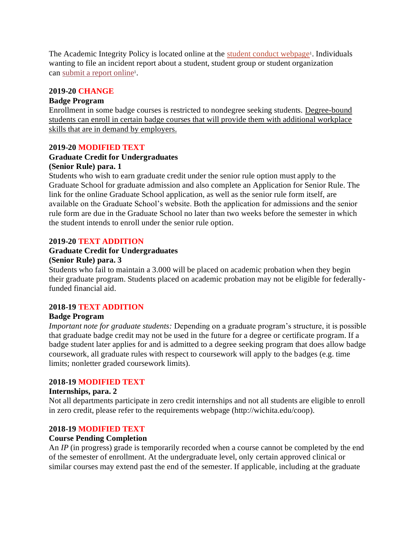The Academic Integrity Policy is located online at the student conduct [webpage](https://www.wichita.edu/studentconduct)<sup>1</sup>. Individuals wanting to file an incident report about a student, student group or student organization can [submit](https://www.wichita.edu/services/student_affairs/report-it.php) a report online<sup>1</sup>.

## **2019-20 CHANGE**

#### **Badge Program**

Enrollment in some badge courses is restricted to nondegree seeking students. Degree-bound students can enroll in certain badge courses that will provide them with additional workplace skills that are in demand by employers.

## **2019-20 MODIFIED TEXT**

#### **Graduate Credit for Undergraduates (Senior Rule) para. 1**

Students who wish to earn graduate credit under the senior rule option must apply to the Graduate School for graduate admission and also complete an Application for Senior Rule. The link for the online Graduate School application, as well as the senior rule form itself, are available on the Graduate School's website. Both the application for admissions and the senior rule form are due in the Graduate School no later than two weeks before the semester in which the student intends to enroll under the senior rule option.

#### **2019-20 TEXT ADDITION**

## **Graduate Credit for Undergraduates**

#### **(Senior Rule) para. 3**

Students who fail to maintain a 3.000 will be placed on academic probation when they begin their graduate program. Students placed on academic probation may not be eligible for federallyfunded financial aid.

#### **2018-19 TEXT ADDITION**

## **Badge Program**

*Important note for graduate students:* Depending on a graduate program's structure, it is possible that graduate badge credit may not be used in the future for a degree or certificate program. If a badge student later applies for and is admitted to a degree seeking program that does allow badge coursework, all graduate rules with respect to coursework will apply to the badges (e.g. time limits; nonletter graded coursework limits).

#### **2018-19 MODIFIED TEXT**

#### **Internships, para. 2**

Not all departments participate in zero credit internships and not all students are eligible to enroll in zero credit, please refer to the requirements webpage (http://wichita.edu/coop).

## **2018-19 MODIFIED TEXT**

#### **Course Pending Completion**

An *IP* (in progress) grade is temporarily recorded when a course cannot be completed by the end of the semester of enrollment. At the undergraduate level, only certain approved clinical or similar courses may extend past the end of the semester. If applicable, including at the graduate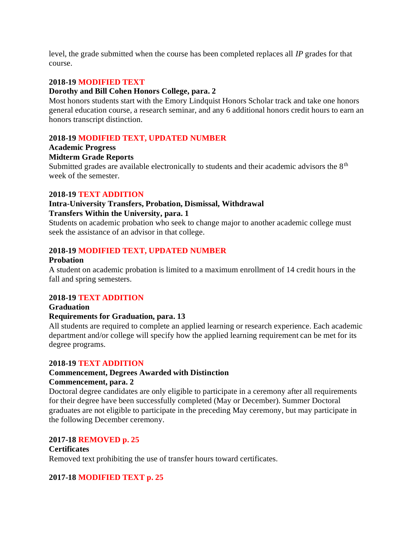level, the grade submitted when the course has been completed replaces all *IP* grades for that course.

## **2018-19 MODIFIED TEXT**

## **Dorothy and Bill Cohen Honors College, para. 2**

Most honors students start with the Emory Lindquist Honors Scholar track and take one honors general education course, a research seminar, and any 6 additional honors credit hours to earn an honors transcript distinction.

## **2018-19 MODIFIED TEXT, UPDATED NUMBER**

## **Academic Progress**

## **Midterm Grade Reports**

Submitted grades are available electronically to students and their academic advisors the  $8<sup>th</sup>$ week of the semester.

## **2018-19 TEXT ADDITION**

## **Intra-University Transfers, Probation, Dismissal, Withdrawal Transfers Within the University, para. 1**

Students on academic probation who seek to change major to another academic college must seek the assistance of an advisor in that college.

## **2018-19 MODIFIED TEXT, UPDATED NUMBER**

#### **Probation**

A student on academic probation is limited to a maximum enrollment of 14 credit hours in the fall and spring semesters.

## **2018-19 TEXT ADDITION**

## **Graduation Requirements for Graduation, para. 13**

All students are required to complete an applied learning or research experience. Each academic department and/or college will specify how the applied learning requirement can be met for its degree programs.

## **2018-19 TEXT ADDITION**

# **Commencement, Degrees Awarded with Distinction**

# **Commencement, para. 2**

Doctoral degree candidates are only eligible to participate in a ceremony after all requirements for their degree have been successfully completed (May or December). Summer Doctoral graduates are not eligible to participate in the preceding May ceremony, but may participate in the following December ceremony.

## **2017-18 REMOVED p. 25**

## **Certificates** Removed text prohibiting the use of transfer hours toward certificates.

## **2017-18 MODIFIED TEXT p. 25**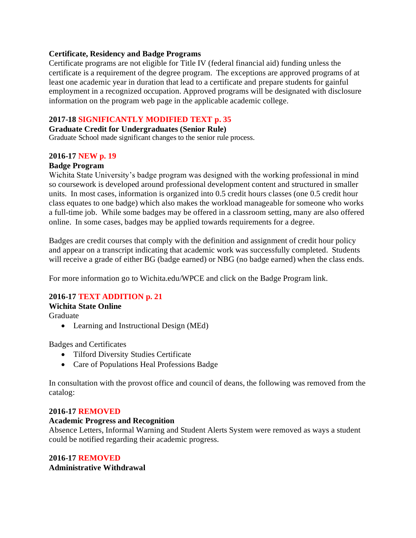#### **Certificate, Residency and Badge Programs**

Certificate programs are not eligible for Title IV (federal financial aid) funding unless the certificate is a requirement of the degree program. The exceptions are approved programs of at least one academic year in duration that lead to a certificate and prepare students for gainful employment in a recognized occupation. Approved programs will be designated with disclosure information on the program web page in the applicable academic college.

## **2017-18 SIGNIFICANTLY MODIFIED TEXT p. 35**

#### **Graduate Credit for Undergraduates (Senior Rule)**

Graduate School made significant changes to the senior rule process.

#### **2016-17 NEW p. 19**

## **Badge Program**

Wichita State University's badge program was designed with the working professional in mind so coursework is developed around professional development content and structured in smaller units. In most cases, information is organized into 0.5 credit hours classes (one 0.5 credit hour class equates to one badge) which also makes the workload manageable for someone who works a full-time job. While some badges may be offered in a classroom setting, many are also offered online. In some cases, badges may be applied towards requirements for a degree.

Badges are credit courses that comply with the definition and assignment of credit hour policy and appear on a transcript indicating that academic work was successfully completed. Students will receive a grade of either BG (badge earned) or NBG (no badge earned) when the class ends.

For more information go to Wichita.edu/WPCE and click on the Badge Program link.

## **2016-17 TEXT ADDITION p. 21**

# **Wichita State Online**

Graduate

• Learning and Instructional Design (MEd)

Badges and Certificates

- Tilford Diversity Studies Certificate
- Care of Populations Heal Professions Badge

In consultation with the provost office and council of deans, the following was removed from the catalog:

#### **2016-17 REMOVED**

#### **Academic Progress and Recognition**

Absence Letters, Informal Warning and Student Alerts System were removed as ways a student could be notified regarding their academic progress.

## **2016-17 REMOVED**

**Administrative Withdrawal**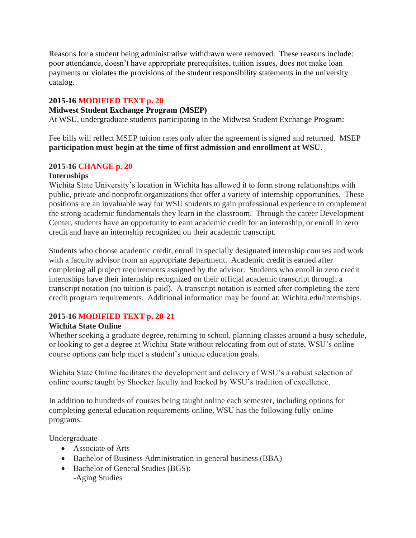Reasons for a student being administrative withdrawn were removed. These reasons include: poor attendance, doesn't have appropriate prerequisites, tuition issues, does not make loan payments or violates the provisions of the student responsibility statements in the university catalog.

## **2015-16 MODIFIED TEXT p. 20**

#### **Midwest Student Exchange Program (MSEP)**

At WSU, undergraduate students participating in the Midwest Student Exchange Program:

Fee bills will reflect MSEP tuition rates only after the agreement is signed and returned. MSEP **participation must begin at the time of first admission and enrollment at WSU**.

## **2015-16 CHANGE p. 20**

## **Internships**

Wichita State University's location in Wichita has allowed it to form strong relationships with public, private and nonprofit organizations that offer a variety of internship opportunities. These positions are an invaluable way for WSU students to gain professional experience to complement the strong academic fundamentals they learn in the classroom. Through the career Development Center, students have an opportunity to earn academic credit for an internship, or enroll in zero credit and have an internship recognized on their academic transcript.

Students who choose academic credit, enroll in specially designated internship courses and work with a faculty advisor from an appropriate department. Academic credit is earned after completing all project requirements assigned by the advisor. Students who enroll in zero credit internships have their internship recognized on their official academic transcript through a transcript notation (no tuition is paid). A transcript notation is earned after completing the zero credit program requirements. Additional information may be found at: Wichita.edu/internships.

#### **2015-16 MODIFIED TEXT p. 20-21**

#### **Wichita State Online**

Whether seeking a graduate degree, returning to school, planning classes around a busy schedule, or looking to get a degree at Wichita State without relocating from out of state, WSU's online course options can help meet a student's unique education goals.

Wichita State Online facilitates the development and delivery of WSU's a robust selection of online course taught by Shocker faculty and backed by WSU's tradition of excellence.

In addition to hundreds of courses being taught online each semester, including options for completing general education requirements online, WSU has the following fully online programs:

Undergraduate

- Associate of Arts
- Bachelor of Business Administration in general business (BBA)
- Bachelor of General Studies (BGS):
	- -Aging Studies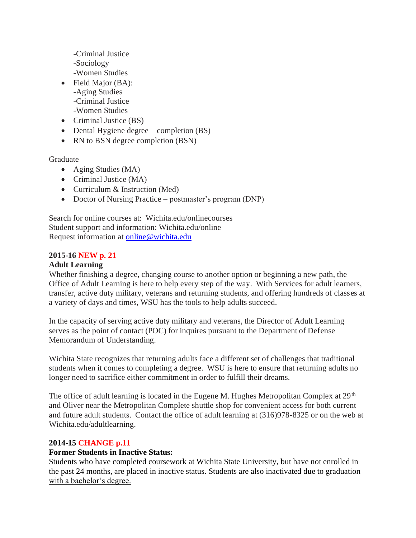-Criminal Justice -Sociology -Women Studies

- Field Major (BA): -Aging Studies -Criminal Justice -Women Studies
- Criminal Justice (BS)
- Dental Hygiene degree completion (BS)
- RN to BSN degree completion (BSN)

Graduate

- Aging Studies (MA)
- Criminal Justice (MA)
- Curriculum & Instruction (Med)
- Doctor of Nursing Practice postmaster's program (DNP)

Search for online courses at: Wichita.edu/onlinecourses Student support and information: Wichita.edu/online Request information at [online@wichita.edu](mailto:online@wichita.edu)

## **2015-16 NEW p. 21**

## **Adult Learning**

Whether finishing a degree, changing course to another option or beginning a new path, the Office of Adult Learning is here to help every step of the way. With Services for adult learners, transfer, active duty military, veterans and returning students, and offering hundreds of classes at a variety of days and times, WSU has the tools to help adults succeed.

In the capacity of serving active duty military and veterans, the Director of Adult Learning serves as the point of contact (POC) for inquires pursuant to the Department of Defense Memorandum of Understanding.

Wichita State recognizes that returning adults face a different set of challenges that traditional students when it comes to completing a degree. WSU is here to ensure that returning adults no longer need to sacrifice either commitment in order to fulfill their dreams.

The office of adult learning is located in the Eugene M. Hughes Metropolitan Complex at  $29<sup>th</sup>$ and Oliver near the Metropolitan Complete shuttle shop for convenient access for both current and future adult students. Contact the office of adult learning at (316)978-8325 or on the web at Wichita.edu/adultlearning.

## **2014-15 CHANGE p.11**

## **Former Students in Inactive Status:**

Students who have completed coursework at Wichita State University, but have not enrolled in the past 24 months, are placed in inactive status. Students are also inactivated due to graduation with a bachelor's degree.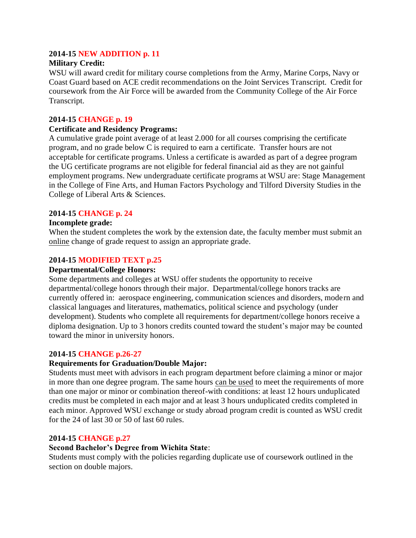## **2014-15 NEW ADDITION p. 11**

## **Military Credit:**

WSU will award credit for military course completions from the Army, Marine Corps, Navy or Coast Guard based on ACE credit recommendations on the Joint Services Transcript. Credit for coursework from the Air Force will be awarded from the Community College of the Air Force Transcript.

#### **2014-15 CHANGE p. 19**

#### **Certificate and Residency Programs:**

A cumulative grade point average of at least 2.000 for all courses comprising the certificate program, and no grade below C is required to earn a certificate. Transfer hours are not acceptable for certificate programs. Unless a certificate is awarded as part of a degree program the UG certificate programs are not eligible for federal financial aid as they are not gainful employment programs. New undergraduate certificate programs at WSU are: Stage Management in the College of Fine Arts, and Human Factors Psychology and Tilford Diversity Studies in the College of Liberal Arts & Sciences.

## **2014-15 CHANGE p. 24**

#### **Incomplete grade:**

When the student completes the work by the extension date, the faculty member must submit an online change of grade request to assign an appropriate grade.

#### **2014-15 MODIFIED TEXT p.25**

#### **Departmental/College Honors:**

Some departments and colleges at WSU offer students the opportunity to receive departmental/college honors through their major. Departmental/college honors tracks are currently offered in: aerospace engineering, communication sciences and disorders, modern and classical languages and literatures, mathematics, political science and psychology (under development). Students who complete all requirements for department/college honors receive a diploma designation. Up to 3 honors credits counted toward the student's major may be counted toward the minor in university honors.

## **2014-15 CHANGE p.26-27**

#### **Requirements for Graduation/Double Major:**

Students must meet with advisors in each program department before claiming a minor or major in more than one degree program. The same hours can be used to meet the requirements of more than one major or minor or combination thereof-with conditions: at least 12 hours unduplicated credits must be completed in each major and at least 3 hours unduplicated credits completed in each minor. Approved WSU exchange or study abroad program credit is counted as WSU credit for the 24 of last 30 or 50 of last 60 rules.

#### **2014-15 CHANGE p.27**

#### **Second Bachelor's Degree from Wichita State**:

Students must comply with the policies regarding duplicate use of coursework outlined in the section on double majors.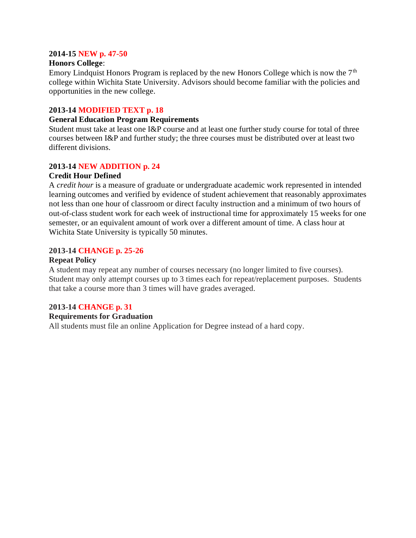#### **2014-15 NEW p. 47-50**

#### **Honors College**:

Emory Lindquist Honors Program is replaced by the new Honors College which is now the  $7<sup>th</sup>$ college within Wichita State University. Advisors should become familiar with the policies and opportunities in the new college.

## **2013-14 MODIFIED TEXT p. 18**

## **General Education Program Requirements**

Student must take at least one I&P course and at least one further study course for total of three courses between I&P and further study; the three courses must be distributed over at least two different divisions.

## **2013-14 NEW ADDITION p. 24**

#### **Credit Hour Defined**

A *credit hour* is a measure of graduate or undergraduate academic work represented in intended learning outcomes and verified by evidence of student achievement that reasonably approximates not less than one hour of classroom or direct faculty instruction and a minimum of two hours of out-of-class student work for each week of instructional time for approximately 15 weeks for one semester, or an equivalent amount of work over a different amount of time. A class hour at Wichita State University is typically 50 minutes.

## **2013-14 CHANGE p. 25-26**

#### **Repeat Policy**

A student may repeat any number of courses necessary (no longer limited to five courses). Student may only attempt courses up to 3 times each for repeat/replacement purposes. Students that take a course more than 3 times will have grades averaged.

## **2013-14 CHANGE p. 31**

#### **Requirements for Graduation**

All students must file an online Application for Degree instead of a hard copy.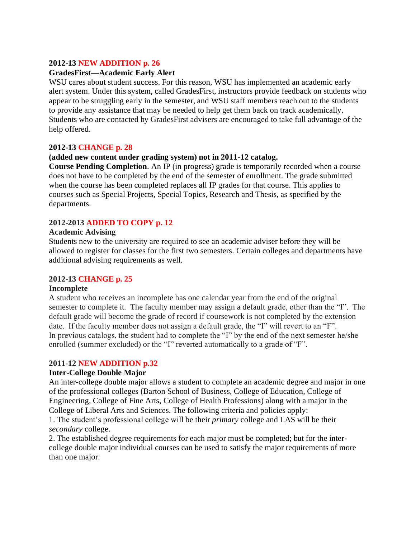## **2012-13 NEW ADDITION p. 26**

## **GradesFirst—Academic Early Alert**

WSU cares about student success. For this reason, WSU has implemented an academic early alert system. Under this system, called GradesFirst, instructors provide feedback on students who appear to be struggling early in the semester, and WSU staff members reach out to the students to provide any assistance that may be needed to help get them back on track academically. Students who are contacted by GradesFirst advisers are encouraged to take full advantage of the help offered.

#### **2012-13 CHANGE p. 28**

## **(added new content under grading system) not in 2011-12 catalog.**

**Course Pending Completion**. An IP (in progress) grade is temporarily recorded when a course does not have to be completed by the end of the semester of enrollment. The grade submitted when the course has been completed replaces all IP grades for that course. This applies to courses such as Special Projects, Special Topics, Research and Thesis, as specified by the departments.

## **2012-2013 ADDED TO COPY p. 12**

#### **Academic Advising**

Students new to the university are required to see an academic adviser before they will be allowed to register for classes for the first two semesters. Certain colleges and departments have additional advising requirements as well.

#### **2012-13 CHANGE p. 25**

## **Incomplete**

A student who receives an incomplete has one calendar year from the end of the original semester to complete it. The faculty member may assign a default grade, other than the "I". The default grade will become the grade of record if coursework is not completed by the extension date. If the faculty member does not assign a default grade, the "I" will revert to an "F". In previous catalogs, the student had to complete the "I" by the end of the next semester he/she enrolled (summer excluded) or the "I" reverted automatically to a grade of "F".

## **2011-12 NEW ADDITION p.32**

#### **Inter-College Double Major**

An inter-college double major allows a student to complete an academic degree and major in one of the professional colleges (Barton School of Business, College of Education, College of Engineering, College of Fine Arts, College of Health Professions) along with a major in the College of Liberal Arts and Sciences. The following criteria and policies apply:

1. The student's professional college will be their *primary* college and LAS will be their *secondary* college.

2. The established degree requirements for each major must be completed; but for the intercollege double major individual courses can be used to satisfy the major requirements of more than one major.